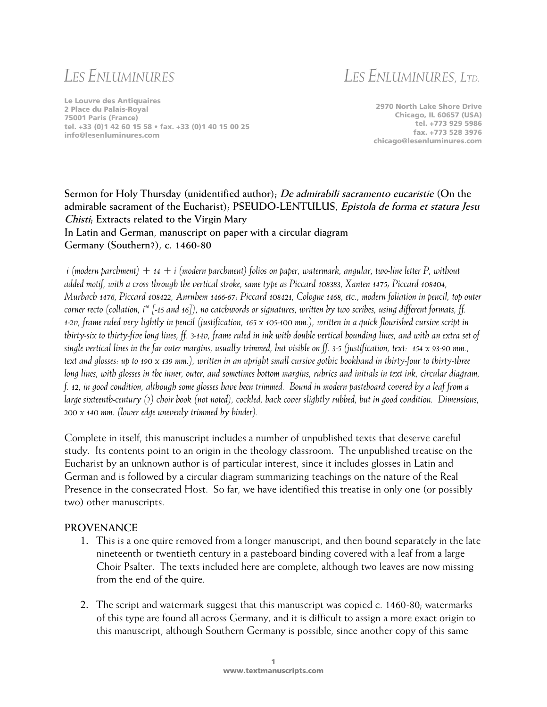# *LES ENLUMINURES*

*LES ENLUMINURES, LTD.*

Le Louvre des Antiquaires 2 Place du Palais-Royal 75001 Paris (France) tel. +33 (0)1 42 60 15 58 • fax. +33 (0)1 40 15 00 25 info@lesenluminures.com

2970 North Lake Shore Drive Chicago, IL 60657 (USA) tel. +773 929 5986 fax. +773 528 3976 chicago@lesenluminures.com

## **Sermon for Holy Thursday (unidentified author); De admirabili sacramento eucaristie (On the admirable sacrament of the Eucharist); PSEUDO-LENTULUS, Epistola de forma et statura Jesu Chisti; Extracts related to the Virgin Mary In Latin and German, manuscript on paper with a circular diagram Germany (Southern?), c. 1460-80**

 *i (modern parchment) + 14 + i (modern parchment) folios on paper, watermark, angular, two-line letter P, without added motif, with a cross through the vertical stroke, same type as Piccard 108383, Xanten 1475; Piccard 108404, Murbach 1476, Piccard 108422, Anrnhem 1466-67; Piccard 108421, Cologne 1468, etc., modern foliation in pencil, top outer corner recto (collation, i<sup>16</sup> [-15 and 16]), no catchwords or signatures, written by two scribes, using different formats, ff. 1-2v, frame ruled very lightly in pencil (justification, 165 x 105-100 mm.), written in a quick flourished cursive script in thirty-six to thirty-five long lines, ff. 3-14v, frame ruled in ink with double vertical bounding lines, and with an extra set of single vertical lines in the far outer margins, usually trimmed, but visible on ff. 3-5 (justification, text: 154 x 93-90 mm., text and glosses: up to 190 x 139 mm.), written in an upright small cursive gothic bookhand in thirty-four to thirty-three long lines, with glosses in the inner, outer, and sometimes bottom margins, rubrics and initials in text ink, circular diagram, f. 12, in good condition, although some glosses have been trimmed. Bound in modern pasteboard covered by a leaf from a large sixteenth-century (?) choir book (not noted), cockled, back cover slightly rubbed, but in good condition. Dimensions, 200 x 140 mm. (lower edge unevenly trimmed by binder).*

Complete in itself, this manuscript includes a number of unpublished texts that deserve careful study. Its contents point to an origin in the theology classroom. The unpublished treatise on the Eucharist by an unknown author is of particular interest, since it includes glosses in Latin and German and is followed by a circular diagram summarizing teachings on the nature of the Real Presence in the consecrated Host. So far, we have identified this treatise in only one (or possibly two) other manuscripts.

### **PROVENANCE**

- 1. This is a one quire removed from a longer manuscript, and then bound separately in the late nineteenth or twentieth century in a pasteboard binding covered with a leaf from a large Choir Psalter. The texts included here are complete, although two leaves are now missing from the end of the quire.
- 2. The script and watermark suggest that this manuscript was copied c. 1460-80; watermarks of this type are found all across Germany, and it is difficult to assign a more exact origin to this manuscript, although Southern Germany is possible, since another copy of this same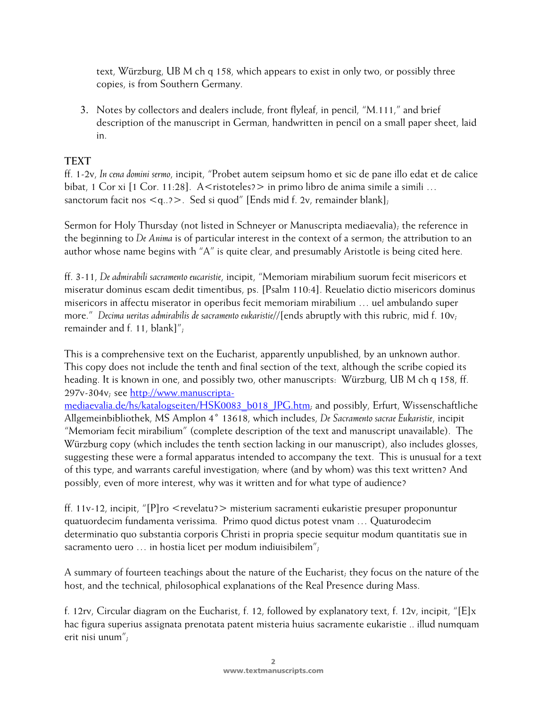text, Würzburg, UB M ch q 158, which appears to exist in only two, or possibly three copies, is from Southern Germany.

3. Notes by collectors and dealers include, front flyleaf, in pencil, "M.111," and brief description of the manuscript in German, handwritten in pencil on a small paper sheet, laid in.

## **TEXT**

ff. 1-2v, *In cena domini sermo*, incipit, "Probet autem seipsum homo et sic de pane illo edat et de calice bibat, 1 Cor xi [1 Cor. 11:28]. A < ristoteles? > in primo libro de anima simile a simili ... sanctorum facit nos  $\langle q_{.}. \rangle$ . Sed si quod" [Ends mid f. 2v, remainder blank];

Sermon for Holy Thursday (not listed in Schneyer or Manuscripta mediaevalia); the reference in the beginning to *De Anima* is of particular interest in the context of a sermon; the attribution to an author whose name begins with "A" is quite clear, and presumably Aristotle is being cited here.

ff. 3-11, *De admirabili sacramento eucaristie*, incipit, "Memoriam mirabilium suorum fecit misericors et miseratur dominus escam dedit timentibus, ps. [Psalm 110:4]. Reuelatio dictio misericors dominus misericors in affectu miserator in operibus fecit memoriam mirabilium … uel ambulando super more." *Decima ueritas admirabilis de sacramento eukaristie*//[ends abruptly with this rubric, mid f. 10v; remainder and f. 11, blank]";

This is a comprehensive text on the Eucharist, apparently unpublished, by an unknown author. This copy does not include the tenth and final section of the text, although the scribe copied its heading. It is known in one, and possibly two, other manuscripts: Würzburg, UB M ch q 158, ff. 297v-304v; see [http://www.manuscripta-](http://www.manuscripta-mediaevalia.de/hs/katalogseiten/HSK0083_b018_JPG.htm)

[mediaevalia.de/hs/katalogseiten/HSK0083\\_b018\\_JPG.htm;](http://www.manuscripta-mediaevalia.de/hs/katalogseiten/HSK0083_b018_JPG.htm) and possibly, Erfurt, Wissenschaftliche Allgemeinbibliothek, MS Amplon 4˚ 13618, which includes, *De Sacramento sacrae Eukaristie*, incipit "Memoriam fecit mirabilium" (complete description of the text and manuscript unavailable). The Würzburg copy (which includes the tenth section lacking in our manuscript), also includes glosses, suggesting these were a formal apparatus intended to accompany the text. This is unusual for a text of this type, and warrants careful investigation; where (and by whom) was this text written? And possibly, even of more interest, why was it written and for what type of audience?

ff. 11v-12, incipit, "[P]ro <revelatu?> misterium sacramenti eukaristie presuper proponuntur quatuordecim fundamenta verissima. Primo quod dictus potest vnam … Quaturodecim determinatio quo substantia corporis Christi in propria specie sequitur modum quantitatis sue in sacramento uero … in hostia licet per modum indiuisibilem";

A summary of fourteen teachings about the nature of the Eucharist; they focus on the nature of the host, and the technical, philosophical explanations of the Real Presence during Mass.

f. 12rv, Circular diagram on the Eucharist, f. 12, followed by explanatory text, f. 12v, incipit, "[E]x hac figura superius assignata prenotata patent misteria huius sacramente eukaristie .. illud numquam erit nisi unum";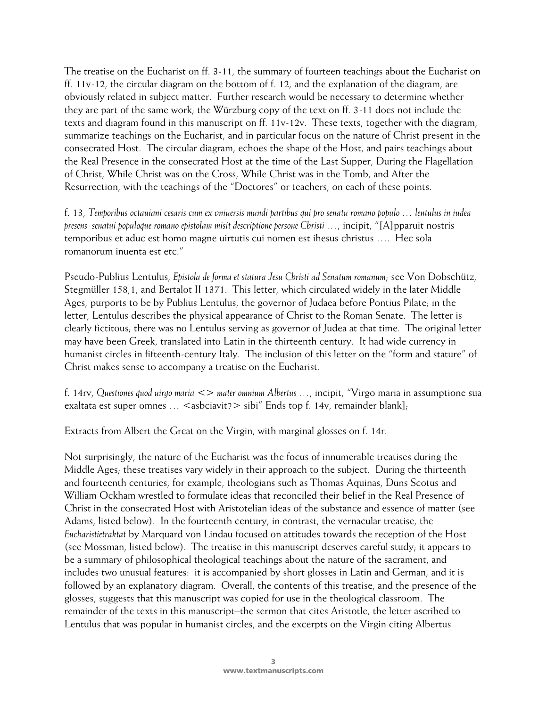The treatise on the Eucharist on ff. 3-11, the summary of fourteen teachings about the Eucharist on ff. 11v-12, the circular diagram on the bottom of f. 12, and the explanation of the diagram, are obviously related in subject matter. Further research would be necessary to determine whether they are part of the same work; the Würzburg copy of the text on ff. 3-11 does not include the texts and diagram found in this manuscript on ff. 11v-12v. These texts, together with the diagram, summarize teachings on the Eucharist, and in particular focus on the nature of Christ present in the consecrated Host. The circular diagram, echoes the shape of the Host, and pairs teachings about the Real Presence in the consecrated Host at the time of the Last Supper, During the Flagellation of Christ, While Christ was on the Cross, While Christ was in the Tomb, and After the Resurrection, with the teachings of the "Doctores" or teachers, on each of these points.

f. 13, *Temporibus octauiani cesaris cum ex vniuersis mundi partibus qui pro senatu romano populo … lentulus in iudea presens senatui populoque romano epistolam misit descriptione persone Christi …*, incipit, "[A]pparuit nostris temporibus et aduc est homo magne uirtutis cui nomen est ihesus christus …. Hec sola romanorum inuenta est etc."

Pseudo-Publius Lentulus, *Epistola de forma et statura Jesu Christi ad Senatum romanum*; see Von Dobschütz, Stegmüller 158,1, and Bertalot II 1371. This letter, which circulated widely in the later Middle Ages, purports to be by Publius Lentulus, the governor of Judaea before Pontius Pilate; in the letter, Lentulus describes the physical appearance of Christ to the Roman Senate. The letter is clearly fictitous; there was no Lentulus serving as governor of Judea at that time. The original letter may have been Greek, translated into Latin in the thirteenth century. It had wide currency in humanist circles in fifteenth-century Italy. The inclusion of this letter on the "form and stature" of Christ makes sense to accompany a treatise on the Eucharist.

f. 14rv, *Questiones quod uirgo maria <> mater omnium Albertus …*, incipit, "Virgo maria in assumptione sua exaltata est super omnes ...  $\leq$ asbciavit? $>$  sibi" Ends top f. 14v, remainder blank];

Extracts from Albert the Great on the Virgin, with marginal glosses on f. 14r.

Not surprisingly, the nature of the Eucharist was the focus of innumerable treatises during the Middle Ages; these treatises vary widely in their approach to the subject. During the thirteenth and fourteenth centuries, for example, theologians such as Thomas Aquinas, Duns Scotus and William Ockham wrestled to formulate ideas that reconciled their belief in the Real Presence of Christ in the consecrated Host with Aristotelian ideas of the substance and essence of matter (see Adams, listed below). In the fourteenth century, in contrast, the vernacular treatise, the *Eucharistietraktat* by Marquard von Lindau focused on attitudes towards the reception of the Host (see Mossman, listed below). The treatise in this manuscript deserves careful study, it appears to be a summary of philosophical theological teachings about the nature of the sacrament, and includes two unusual features: it is accompanied by short glosses in Latin and German, and it is followed by an explanatory diagram. Overall, the contents of this treatise, and the presence of the glosses, suggests that this manuscript was copied for use in the theological classroom. The remainder of the texts in this manuscript–the sermon that cites Aristotle, the letter ascribed to Lentulus that was popular in humanist circles, and the excerpts on the Virgin citing Albertus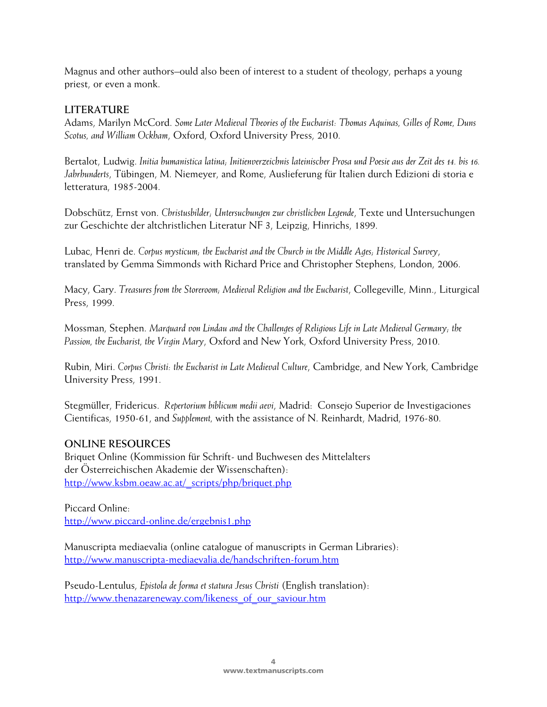Magnus and other authors–ould also been of interest to a student of theology, perhaps a young priest, or even a monk.

## **LITERATURE**

Adams, Marilyn McCord. *Some Later Medieval Theories of the Eucharist: Thomas Aquinas, Gilles of Rome, Duns Scotus, and William Ockham*, Oxford, Oxford University Press, 2010.

Bertalot, Ludwig. *Initia humanistica latina; Initienverzeichnis lateinischer Prosa und Poesie aus der Zeit des 14. bis 16. Jahrhunderts*, Tübingen, M. Niemeyer, and Rome, Auslieferung für Italien durch Edizioni di storia e letteratura, 1985-2004.

Dobschütz, Ernst von. *Christusbilder; Untersuchungen zur christlichen Legende*, Texte und Untersuchungen zur Geschichte der altchristlichen Literatur NF 3, Leipzig, Hinrichs, 1899.

Lubac, Henri de. *Corpus mysticum; the Eucharist and the Church in the Middle Ages; Historical Survey*, translated by Gemma Simmonds with Richard Price and Christopher Stephens, London, 2006.

Macy, Gary. *Treasures from the Storeroom; Medieval Religion and the Eucharist*, Collegeville, Minn., Liturgical Press, 1999.

Mossman, Stephen. *Marquard von Lindau and the Challenges of Religious Life in Late Medieval Germany; the Passion, the Eucharist, the Virgin Mary*, Oxford and New York, Oxford University Press, 2010.

Rubin, Miri. *Corpus Christi: the Eucharist in Late Medieval Culture*, Cambridge, and New York, Cambridge University Press, 1991.

Stegmüller, Fridericus. *Repertorium biblicum medii aevi*, Madrid: Consejo Superior de Investigaciones Cientificas, 1950-61, and *Supplement,* with the assistance of N. Reinhardt, Madrid, 1976-80.

### **ONLINE RESOURCES**

Briquet Online (Kommission für Schrift- und Buchwesen des Mittelalters der Österreichischen Akademie der Wissenschaften): [http://www.ksbm.oeaw.ac.at/\\_scripts/php/briquet.php](http://www.ksbm.oeaw.ac.at/_scripts/php/briquet.php)

Piccard Online: <http://www.piccard-online.de/ergebnis1.php>

Manuscripta mediaevalia (online catalogue of manuscripts in German Libraries): <http://www.manuscripta-mediaevalia.de/handschriften-forum.htm>

Pseudo-Lentulus, *Epistola de forma et statura Jesus Christi* (English translation): [http://www.thenazareneway.com/likeness\\_of\\_our\\_saviour.htm](http://www.thenazareneway.com/likeness_of_our_saviour.htm)